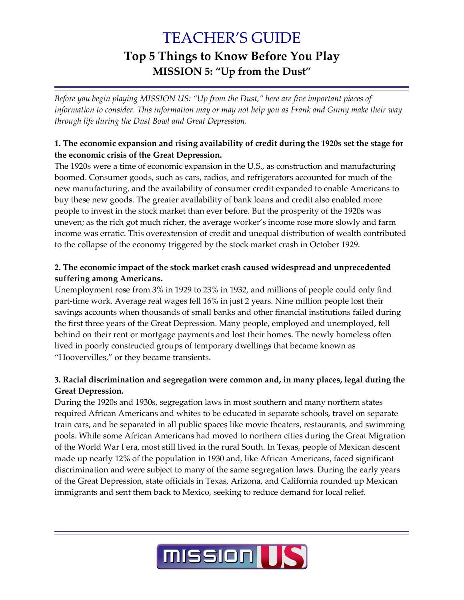# TEACHER'S GUIDE **Top 5 Things to Know Before You Play MISSION 5: "Up from the Dust"**

*Before you begin playing MISSION US: "Up from the Dust," here are five important pieces of information to consider. This information may or may not help you as Frank and Ginny make their way through life during the Dust Bowl and Great Depression.*

### **1. The economic expansion and rising availability of credit during the 1920s set the stage for the economic crisis of the Great Depression.**

The 1920s were a time of economic expansion in the U.S., as construction and manufacturing boomed. Consumer goods, such as cars, radios, and refrigerators accounted for much of the new manufacturing, and the availability of consumer credit expanded to enable Americans to buy these new goods. The greater availability of bank loans and credit also enabled more people to invest in the stock market than ever before. But the prosperity of the 1920s was uneven; as the rich got much richer, the average worker's income rose more slowly and farm income was erratic. This overextension of credit and unequal distribution of wealth contributed to the collapse of the economy triggered by the stock market crash in October 1929.

### **2. The economic impact of the stock market crash caused widespread and unprecedented suffering among Americans.**

Unemployment rose from 3% in 1929 to 23% in 1932, and millions of people could only find part-time work. Average real wages fell 16% in just 2 years. Nine million people lost their savings accounts when thousands of small banks and other financial institutions failed during the first three years of the Great Depression. Many people, employed and unemployed, fell behind on their rent or mortgage payments and lost their homes. The newly homeless often lived in poorly constructed groups of temporary dwellings that became known as "Hoovervilles," or they became transients.

### **3. Racial discrimination and segregation were common and, in many places, legal during the Great Depression.**

During the 1920s and 1930s, segregation laws in most southern and many northern states required African Americans and whites to be educated in separate schools, travel on separate train cars, and be separated in all public spaces like movie theaters, restaurants, and swimming pools. While some African Americans had moved to northern cities during the Great Migration of the World War I era, most still lived in the rural South. In Texas, people of Mexican descent made up nearly 12% of the population in 1930 and, like African Americans, faced significant discrimination and were subject to many of the same segregation laws. During the early years of the Great Depression, state officials in Texas, Arizona, and California rounded up Mexican immigrants and sent them back to Mexico, seeking to reduce demand for local relief.